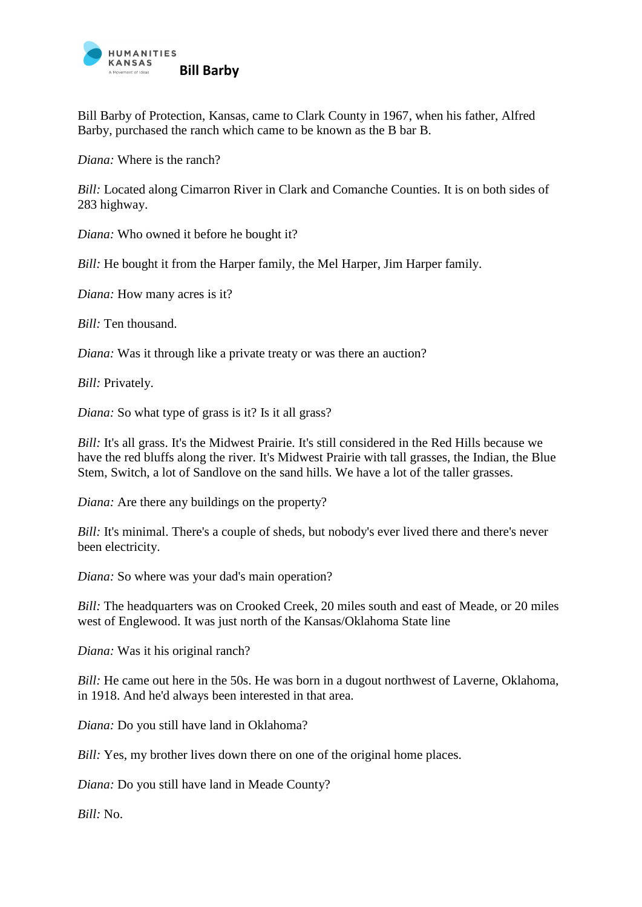

Bill Barby of Protection, Kansas, came to Clark County in 1967, when his father, Alfred Barby, purchased the ranch which came to be known as the B bar B.

*Diana:* Where is the ranch?

*Bill:* Located along Cimarron River in Clark and Comanche Counties. It is on both sides of 283 highway.

*Diana:* Who owned it before he bought it?

*Bill:* He bought it from the Harper family, the Mel Harper, Jim Harper family.

*Diana:* How many acres is it?

*Bill:* Ten thousand.

*Diana:* Was it through like a private treaty or was there an auction?

*Bill:* Privately.

*Diana:* So what type of grass is it? Is it all grass?

*Bill:* It's all grass. It's the Midwest Prairie. It's still considered in the Red Hills because we have the red bluffs along the river. It's Midwest Prairie with tall grasses, the Indian, the Blue Stem, Switch, a lot of Sandlove on the sand hills. We have a lot of the taller grasses.

*Diana:* Are there any buildings on the property?

*Bill:* It's minimal. There's a couple of sheds, but nobody's ever lived there and there's never been electricity.

*Diana:* So where was your dad's main operation?

*Bill:* The headquarters was on Crooked Creek, 20 miles south and east of Meade, or 20 miles west of Englewood. It was just north of the Kansas/Oklahoma State line

*Diana:* Was it his original ranch?

*Bill:* He came out here in the 50s. He was born in a dugout northwest of Laverne, Oklahoma, in 1918. And he'd always been interested in that area.

*Diana:* Do you still have land in Oklahoma?

*Bill:* Yes, my brother lives down there on one of the original home places.

*Diana:* Do you still have land in Meade County?

*Bill:* No.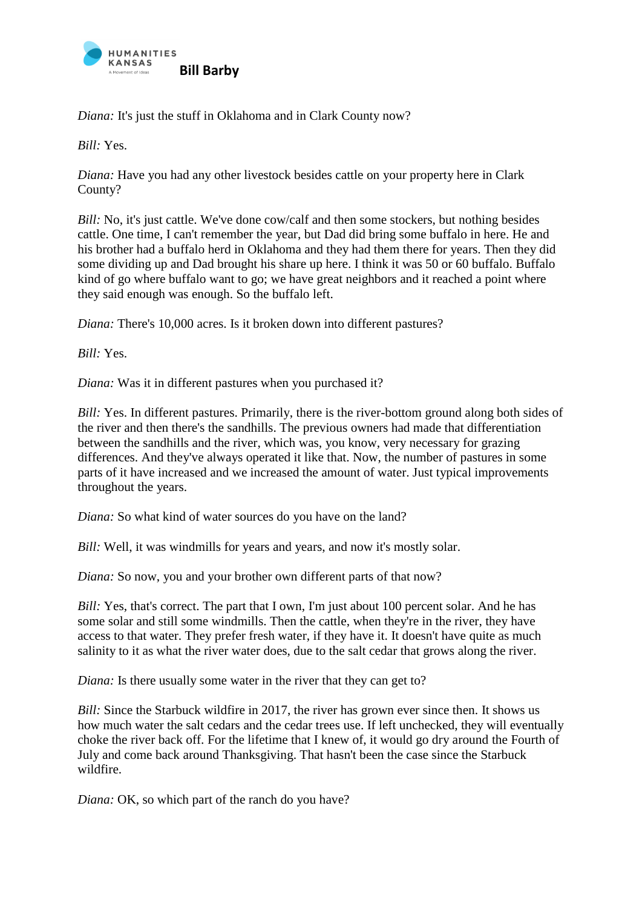

*Diana:* It's just the stuff in Oklahoma and in Clark County now?

*Bill:* Yes.

*Diana:* Have you had any other livestock besides cattle on your property here in Clark County?

*Bill:* No, it's just cattle. We've done cow/calf and then some stockers, but nothing besides cattle. One time, I can't remember the year, but Dad did bring some buffalo in here. He and his brother had a buffalo herd in Oklahoma and they had them there for years. Then they did some dividing up and Dad brought his share up here. I think it was 50 or 60 buffalo. Buffalo kind of go where buffalo want to go; we have great neighbors and it reached a point where they said enough was enough. So the buffalo left.

*Diana:* There's 10,000 acres. Is it broken down into different pastures?

*Bill:* Yes.

*Diana:* Was it in different pastures when you purchased it?

*Bill:* Yes. In different pastures. Primarily, there is the river-bottom ground along both sides of the river and then there's the sandhills. The previous owners had made that differentiation between the sandhills and the river, which was, you know, very necessary for grazing differences. And they've always operated it like that. Now, the number of pastures in some parts of it have increased and we increased the amount of water. Just typical improvements throughout the years.

*Diana:* So what kind of water sources do you have on the land?

*Bill:* Well, it was windmills for years and years, and now it's mostly solar.

*Diana:* So now, you and your brother own different parts of that now?

*Bill:* Yes, that's correct. The part that I own, I'm just about 100 percent solar. And he has some solar and still some windmills. Then the cattle, when they're in the river, they have access to that water. They prefer fresh water, if they have it. It doesn't have quite as much salinity to it as what the river water does, due to the salt cedar that grows along the river.

*Diana:* Is there usually some water in the river that they can get to?

*Bill:* Since the Starbuck wildfire in 2017, the river has grown ever since then. It shows us how much water the salt cedars and the cedar trees use. If left unchecked, they will eventually choke the river back off. For the lifetime that I knew of, it would go dry around the Fourth of July and come back around Thanksgiving. That hasn't been the case since the Starbuck wildfire.

*Diana:* OK, so which part of the ranch do you have?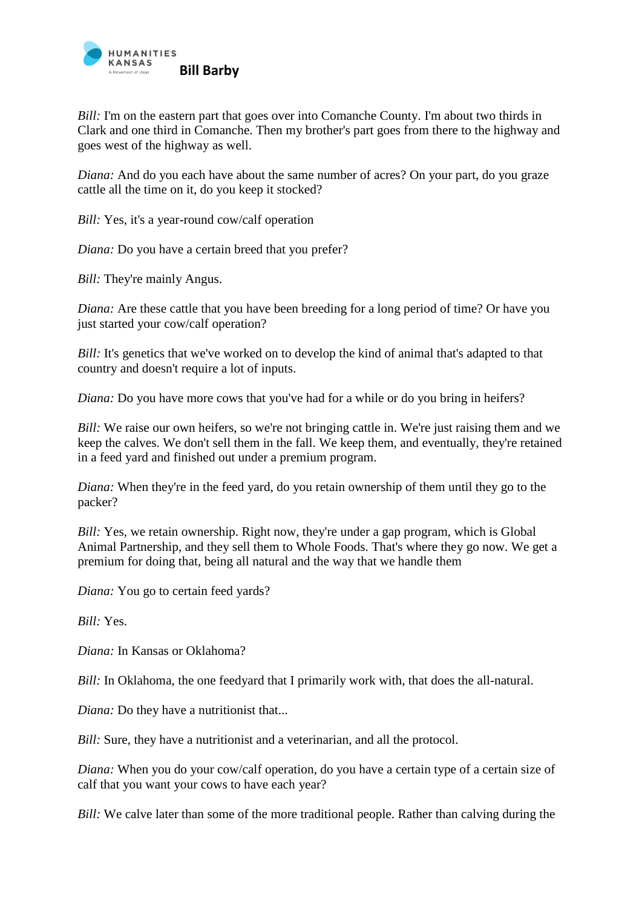

*Bill:* I'm on the eastern part that goes over into Comanche County. I'm about two thirds in Clark and one third in Comanche. Then my brother's part goes from there to the highway and goes west of the highway as well.

*Diana:* And do you each have about the same number of acres? On your part, do you graze cattle all the time on it, do you keep it stocked?

*Bill:* Yes, it's a year-round cow/calf operation

*Diana:* Do you have a certain breed that you prefer?

*Bill:* They're mainly Angus.

*Diana:* Are these cattle that you have been breeding for a long period of time? Or have you just started your cow/calf operation?

*Bill:* It's genetics that we've worked on to develop the kind of animal that's adapted to that country and doesn't require a lot of inputs.

*Diana:* Do you have more cows that you've had for a while or do you bring in heifers?

*Bill:* We raise our own heifers, so we're not bringing cattle in. We're just raising them and we keep the calves. We don't sell them in the fall. We keep them, and eventually, they're retained in a feed yard and finished out under a premium program.

*Diana:* When they're in the feed yard, do you retain ownership of them until they go to the packer?

*Bill:* Yes, we retain ownership. Right now, they're under a gap program, which is Global Animal Partnership, and they sell them to Whole Foods. That's where they go now. We get a premium for doing that, being all natural and the way that we handle them

*Diana:* You go to certain feed yards?

*Bill:* Yes.

*Diana:* In Kansas or Oklahoma?

*Bill:* In Oklahoma, the one feedyard that I primarily work with, that does the all-natural.

*Diana:* Do they have a nutritionist that...

*Bill:* Sure, they have a nutritionist and a veterinarian, and all the protocol.

*Diana:* When you do your cow/calf operation, do you have a certain type of a certain size of calf that you want your cows to have each year?

*Bill:* We calve later than some of the more traditional people. Rather than calving during the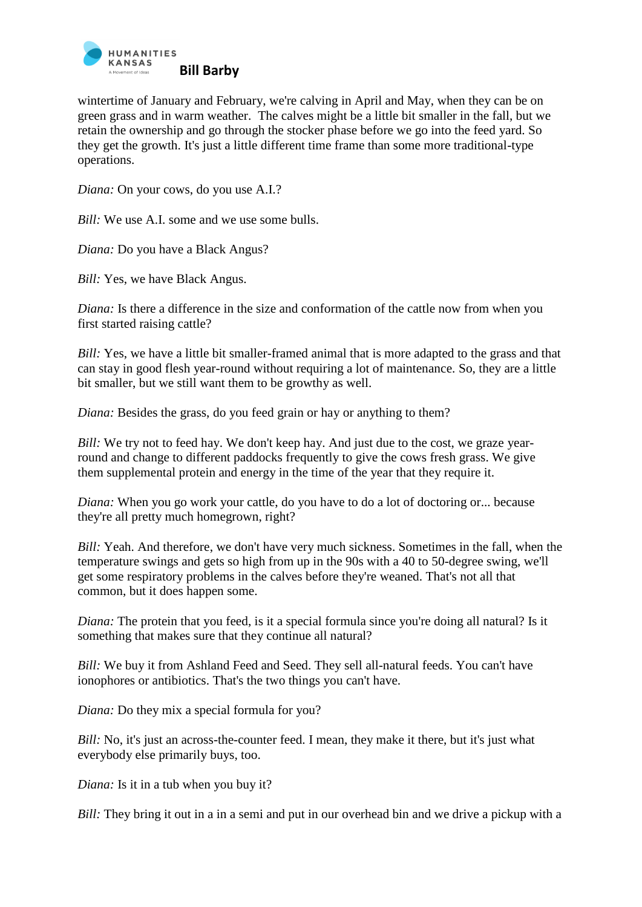

wintertime of January and February, we're calving in April and May, when they can be on green grass and in warm weather. The calves might be a little bit smaller in the fall, but we retain the ownership and go through the stocker phase before we go into the feed yard. So they get the growth. It's just a little different time frame than some more traditional-type operations.

*Diana:* On your cows, do you use A.I.?

*Bill:* We use A.I. some and we use some bulls.

*Diana:* Do you have a Black Angus?

*Bill:* Yes, we have Black Angus.

*Diana:* Is there a difference in the size and conformation of the cattle now from when you first started raising cattle?

*Bill:* Yes, we have a little bit smaller-framed animal that is more adapted to the grass and that can stay in good flesh year-round without requiring a lot of maintenance. So, they are a little bit smaller, but we still want them to be growthy as well.

*Diana:* Besides the grass, do you feed grain or hay or anything to them?

*Bill:* We try not to feed hay. We don't keep hay. And just due to the cost, we graze yearround and change to different paddocks frequently to give the cows fresh grass. We give them supplemental protein and energy in the time of the year that they require it.

*Diana:* When you go work your cattle, do you have to do a lot of doctoring or... because they're all pretty much homegrown, right?

*Bill:* Yeah. And therefore, we don't have very much sickness. Sometimes in the fall, when the temperature swings and gets so high from up in the 90s with a 40 to 50-degree swing, we'll get some respiratory problems in the calves before they're weaned. That's not all that common, but it does happen some.

*Diana:* The protein that you feed, is it a special formula since you're doing all natural? Is it something that makes sure that they continue all natural?

*Bill:* We buy it from Ashland Feed and Seed. They sell all-natural feeds. You can't have ionophores or antibiotics. That's the two things you can't have.

*Diana:* Do they mix a special formula for you?

*Bill:* No, it's just an across-the-counter feed. I mean, they make it there, but it's just what everybody else primarily buys, too.

*Diana:* Is it in a tub when you buy it?

*Bill:* They bring it out in a in a semi and put in our overhead bin and we drive a pickup with a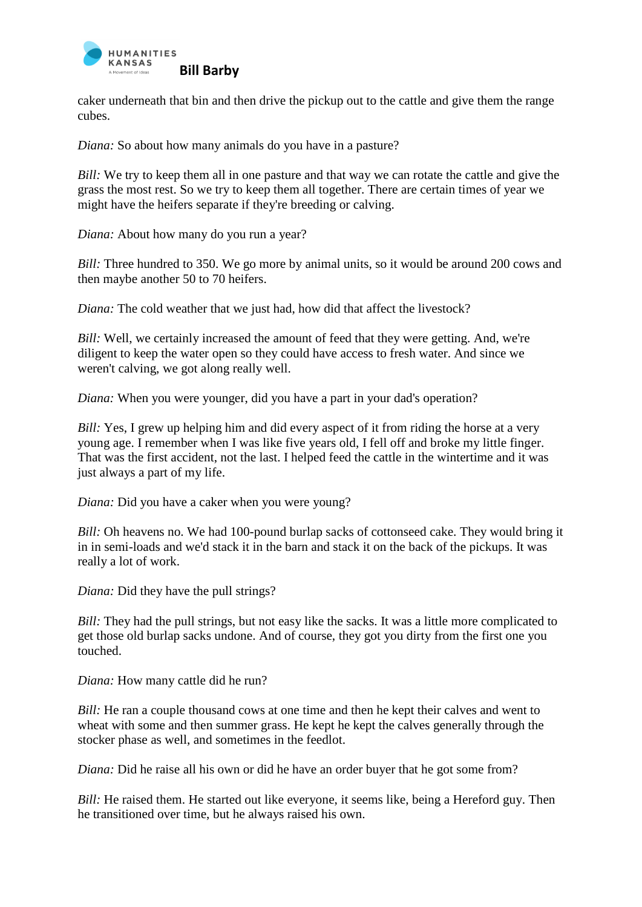

caker underneath that bin and then drive the pickup out to the cattle and give them the range cubes.

*Diana:* So about how many animals do you have in a pasture?

*Bill:* We try to keep them all in one pasture and that way we can rotate the cattle and give the grass the most rest. So we try to keep them all together. There are certain times of year we might have the heifers separate if they're breeding or calving.

*Diana:* About how many do you run a year?

*Bill:* Three hundred to 350. We go more by animal units, so it would be around 200 cows and then maybe another 50 to 70 heifers.

*Diana:* The cold weather that we just had, how did that affect the livestock?

*Bill:* Well, we certainly increased the amount of feed that they were getting. And, we're diligent to keep the water open so they could have access to fresh water. And since we weren't calving, we got along really well.

*Diana:* When you were younger, did you have a part in your dad's operation?

*Bill:* Yes, I grew up helping him and did every aspect of it from riding the horse at a very young age. I remember when I was like five years old, I fell off and broke my little finger. That was the first accident, not the last. I helped feed the cattle in the wintertime and it was just always a part of my life.

*Diana:* Did you have a caker when you were young?

*Bill:* Oh heavens no. We had 100-pound burlap sacks of cottonseed cake. They would bring it in in semi-loads and we'd stack it in the barn and stack it on the back of the pickups. It was really a lot of work.

*Diana:* Did they have the pull strings?

*Bill:* They had the pull strings, but not easy like the sacks. It was a little more complicated to get those old burlap sacks undone. And of course, they got you dirty from the first one you touched.

*Diana:* How many cattle did he run?

*Bill:* He ran a couple thousand cows at one time and then he kept their calves and went to wheat with some and then summer grass. He kept he kept the calves generally through the stocker phase as well, and sometimes in the feedlot.

*Diana*: Did he raise all his own or did he have an order buyer that he got some from?

*Bill:* He raised them. He started out like everyone, it seems like, being a Hereford guy. Then he transitioned over time, but he always raised his own.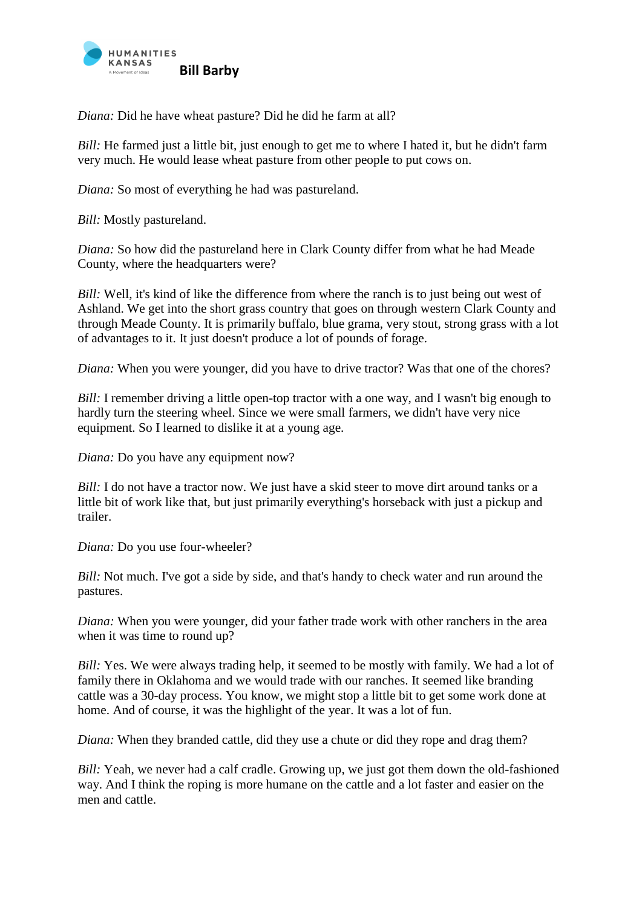

*Diana:* Did he have wheat pasture? Did he did he farm at all?

*Bill:* He farmed just a little bit, just enough to get me to where I hated it, but he didn't farm very much. He would lease wheat pasture from other people to put cows on.

*Diana:* So most of everything he had was pastureland.

*Bill:* Mostly pastureland.

*Diana:* So how did the pastureland here in Clark County differ from what he had Meade County, where the headquarters were?

*Bill:* Well, it's kind of like the difference from where the ranch is to just being out west of Ashland. We get into the short grass country that goes on through western Clark County and through Meade County. It is primarily buffalo, blue grama, very stout, strong grass with a lot of advantages to it. It just doesn't produce a lot of pounds of forage.

*Diana:* When you were younger, did you have to drive tractor? Was that one of the chores?

*Bill:* I remember driving a little open-top tractor with a one way, and I wasn't big enough to hardly turn the steering wheel. Since we were small farmers, we didn't have very nice equipment. So I learned to dislike it at a young age.

*Diana:* Do you have any equipment now?

*Bill:* I do not have a tractor now. We just have a skid steer to move dirt around tanks or a little bit of work like that, but just primarily everything's horseback with just a pickup and trailer.

*Diana:* Do you use four-wheeler?

*Bill:* Not much. I've got a side by side, and that's handy to check water and run around the pastures.

*Diana:* When you were younger, did your father trade work with other ranchers in the area when it was time to round up?

*Bill:* Yes. We were always trading help, it seemed to be mostly with family. We had a lot of family there in Oklahoma and we would trade with our ranches. It seemed like branding cattle was a 30-day process. You know, we might stop a little bit to get some work done at home. And of course, it was the highlight of the year. It was a lot of fun.

*Diana:* When they branded cattle, did they use a chute or did they rope and drag them?

*Bill:* Yeah, we never had a calf cradle. Growing up, we just got them down the old-fashioned way. And I think the roping is more humane on the cattle and a lot faster and easier on the men and cattle.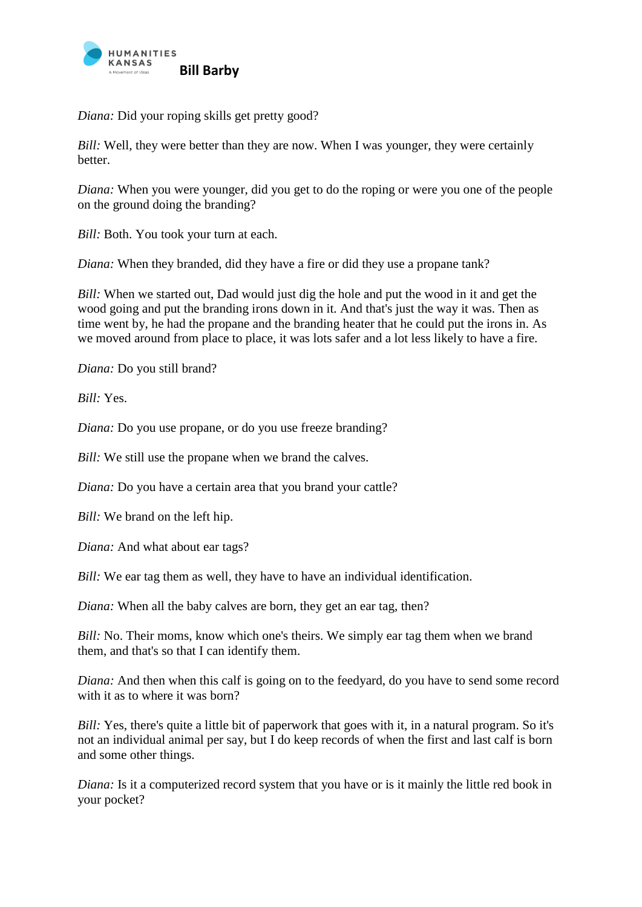

*Diana:* Did your roping skills get pretty good?

*Bill:* Well, they were better than they are now. When I was younger, they were certainly better.

*Diana:* When you were younger, did you get to do the roping or were you one of the people on the ground doing the branding?

*Bill:* Both. You took your turn at each.

*Diana:* When they branded, did they have a fire or did they use a propane tank?

*Bill:* When we started out, Dad would just dig the hole and put the wood in it and get the wood going and put the branding irons down in it. And that's just the way it was. Then as time went by, he had the propane and the branding heater that he could put the irons in. As we moved around from place to place, it was lots safer and a lot less likely to have a fire.

*Diana:* Do you still brand?

*Bill:* Yes.

*Diana:* Do you use propane, or do you use freeze branding?

*Bill:* We still use the propane when we brand the calves.

*Diana:* Do you have a certain area that you brand your cattle?

*Bill:* We brand on the left hip.

*Diana:* And what about ear tags?

*Bill:* We ear tag them as well, they have to have an individual identification.

*Diana:* When all the baby calves are born, they get an ear tag, then?

*Bill:* No. Their moms, know which one's theirs. We simply ear tag them when we brand them, and that's so that I can identify them.

*Diana:* And then when this calf is going on to the feedyard, do you have to send some record with it as to where it was born?

*Bill:* Yes, there's quite a little bit of paperwork that goes with it, in a natural program. So it's not an individual animal per say, but I do keep records of when the first and last calf is born and some other things.

*Diana:* Is it a computerized record system that you have or is it mainly the little red book in your pocket?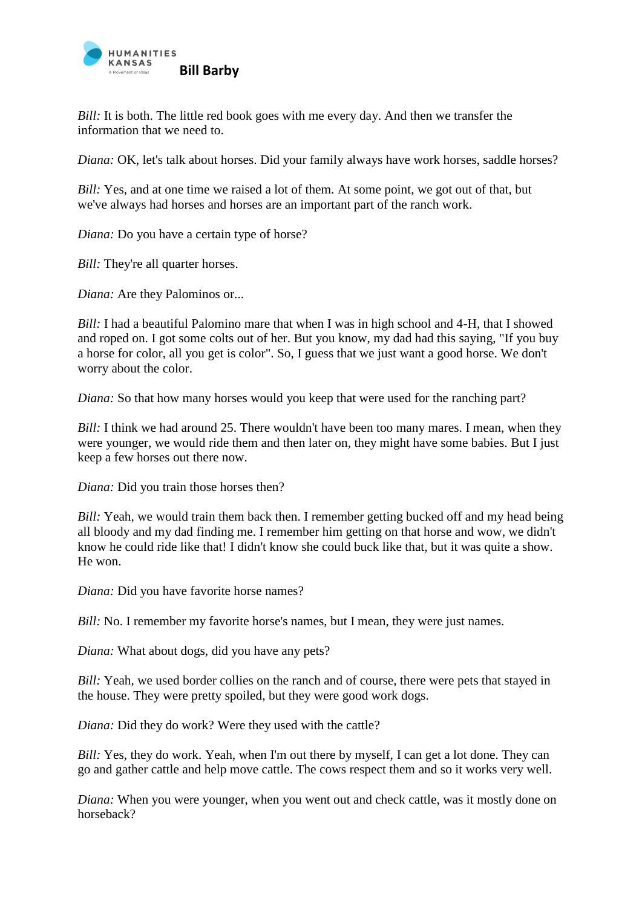

*Bill:* It is both. The little red book goes with me every day. And then we transfer the information that we need to.

*Diana:* OK, let's talk about horses. Did your family always have work horses, saddle horses?

*Bill:* Yes, and at one time we raised a lot of them. At some point, we got out of that, but we've always had horses and horses are an important part of the ranch work.

*Diana:* Do you have a certain type of horse?

*Bill:* They're all quarter horses.

*Diana:* Are they Palominos or...

*Bill:* I had a beautiful Palomino mare that when I was in high school and 4-H, that I showed and roped on. I got some colts out of her. But you know, my dad had this saying, "If you buy a horse for color, all you get is color". So, I guess that we just want a good horse. We don't worry about the color.

*Diana:* So that how many horses would you keep that were used for the ranching part?

*Bill:* I think we had around 25. There wouldn't have been too many mares. I mean, when they were younger, we would ride them and then later on, they might have some babies. But I just keep a few horses out there now.

*Diana:* Did you train those horses then?

*Bill:* Yeah, we would train them back then. I remember getting bucked off and my head being all bloody and my dad finding me. I remember him getting on that horse and wow, we didn't know he could ride like that! I didn't know she could buck like that, but it was quite a show. He won.

*Diana:* Did you have favorite horse names?

*Bill:* No. I remember my favorite horse's names, but I mean, they were just names.

*Diana:* What about dogs, did you have any pets?

*Bill:* Yeah, we used border collies on the ranch and of course, there were pets that stayed in the house. They were pretty spoiled, but they were good work dogs.

*Diana:* Did they do work? Were they used with the cattle?

*Bill:* Yes, they do work. Yeah, when I'm out there by myself, I can get a lot done. They can go and gather cattle and help move cattle. The cows respect them and so it works very well.

*Diana:* When you were younger, when you went out and check cattle, was it mostly done on horseback?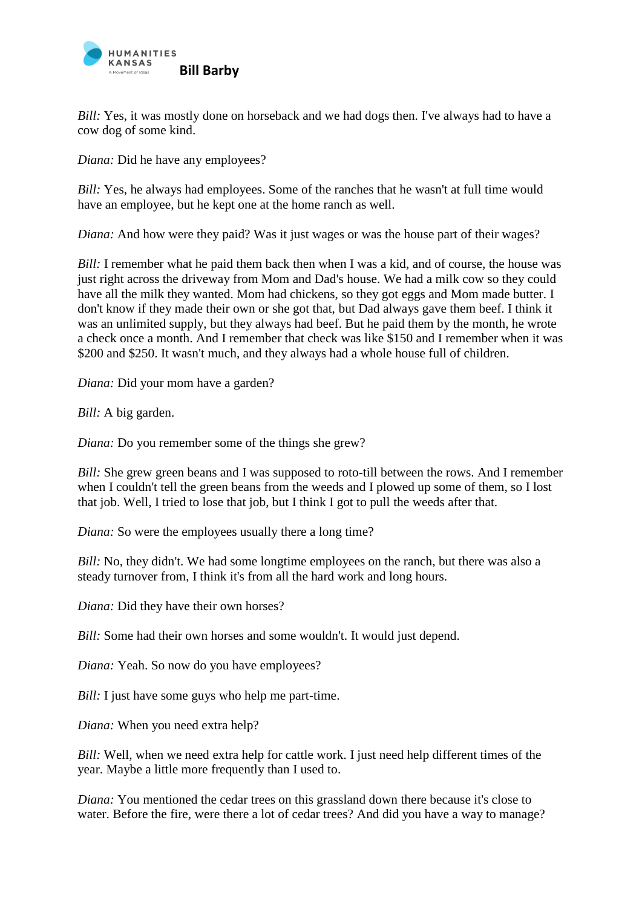

*Bill:* Yes, it was mostly done on horseback and we had dogs then. I've always had to have a cow dog of some kind.

*Diana:* Did he have any employees?

*Bill:* Yes, he always had employees. Some of the ranches that he wasn't at full time would have an employee, but he kept one at the home ranch as well.

*Diana:* And how were they paid? Was it just wages or was the house part of their wages?

*Bill:* I remember what he paid them back then when I was a kid, and of course, the house was just right across the driveway from Mom and Dad's house. We had a milk cow so they could have all the milk they wanted. Mom had chickens, so they got eggs and Mom made butter. I don't know if they made their own or she got that, but Dad always gave them beef. I think it was an unlimited supply, but they always had beef. But he paid them by the month, he wrote a check once a month. And I remember that check was like \$150 and I remember when it was \$200 and \$250. It wasn't much, and they always had a whole house full of children.

*Diana:* Did your mom have a garden?

*Bill:* A big garden.

*Diana:* Do you remember some of the things she grew?

*Bill:* She grew green beans and I was supposed to roto-till between the rows. And I remember when I couldn't tell the green beans from the weeds and I plowed up some of them, so I lost that job. Well, I tried to lose that job, but I think I got to pull the weeds after that.

*Diana:* So were the employees usually there a long time?

*Bill:* No, they didn't. We had some longtime employees on the ranch, but there was also a steady turnover from, I think it's from all the hard work and long hours.

*Diana:* Did they have their own horses?

*Bill:* Some had their own horses and some wouldn't. It would just depend.

*Diana:* Yeah. So now do you have employees?

*Bill:* I just have some guys who help me part-time.

*Diana:* When you need extra help?

*Bill:* Well, when we need extra help for cattle work. I just need help different times of the year. Maybe a little more frequently than I used to.

*Diana:* You mentioned the cedar trees on this grassland down there because it's close to water. Before the fire, were there a lot of cedar trees? And did you have a way to manage?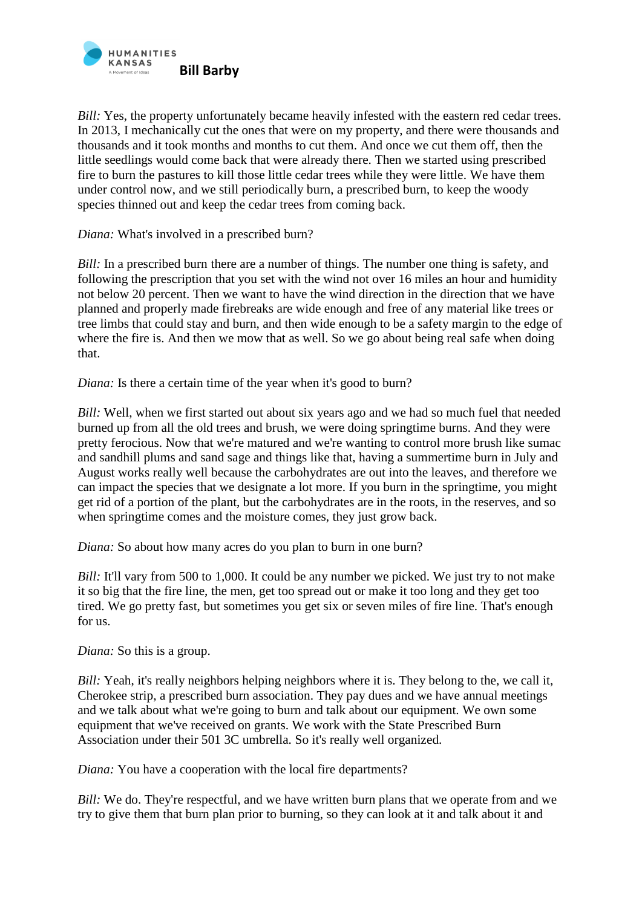

*Bill:* Yes, the property unfortunately became heavily infested with the eastern red cedar trees. In 2013, I mechanically cut the ones that were on my property, and there were thousands and thousands and it took months and months to cut them. And once we cut them off, then the little seedlings would come back that were already there. Then we started using prescribed fire to burn the pastures to kill those little cedar trees while they were little. We have them under control now, and we still periodically burn, a prescribed burn, to keep the woody species thinned out and keep the cedar trees from coming back.

*Diana:* What's involved in a prescribed burn?

*Bill:* In a prescribed burn there are a number of things. The number one thing is safety, and following the prescription that you set with the wind not over 16 miles an hour and humidity not below 20 percent. Then we want to have the wind direction in the direction that we have planned and properly made firebreaks are wide enough and free of any material like trees or tree limbs that could stay and burn, and then wide enough to be a safety margin to the edge of where the fire is. And then we mow that as well. So we go about being real safe when doing that.

*Diana:* Is there a certain time of the year when it's good to burn?

*Bill:* Well, when we first started out about six years ago and we had so much fuel that needed burned up from all the old trees and brush, we were doing springtime burns. And they were pretty ferocious. Now that we're matured and we're wanting to control more brush like sumac and sandhill plums and sand sage and things like that, having a summertime burn in July and August works really well because the carbohydrates are out into the leaves, and therefore we can impact the species that we designate a lot more. If you burn in the springtime, you might get rid of a portion of the plant, but the carbohydrates are in the roots, in the reserves, and so when springtime comes and the moisture comes, they just grow back.

*Diana:* So about how many acres do you plan to burn in one burn?

*Bill:* It'll vary from 500 to 1,000. It could be any number we picked. We just try to not make it so big that the fire line, the men, get too spread out or make it too long and they get too tired. We go pretty fast, but sometimes you get six or seven miles of fire line. That's enough for us.

*Diana:* So this is a group.

*Bill:* Yeah, it's really neighbors helping neighbors where it is. They belong to the, we call it, Cherokee strip, a prescribed burn association. They pay dues and we have annual meetings and we talk about what we're going to burn and talk about our equipment. We own some equipment that we've received on grants. We work with the State Prescribed Burn Association under their 501 3C umbrella. So it's really well organized.

*Diana:* You have a cooperation with the local fire departments?

*Bill:* We do. They're respectful, and we have written burn plans that we operate from and we try to give them that burn plan prior to burning, so they can look at it and talk about it and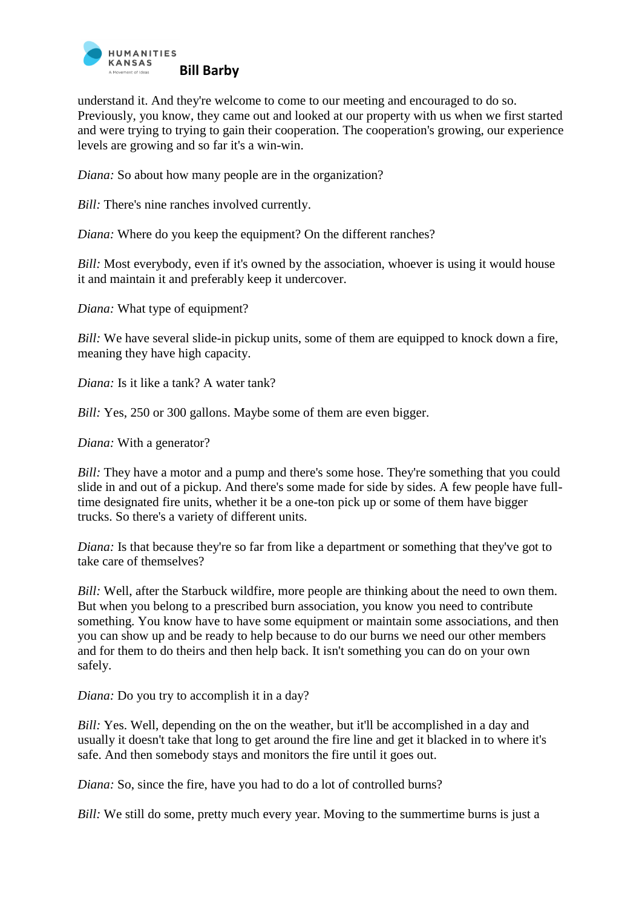

understand it. And they're welcome to come to our meeting and encouraged to do so. Previously, you know, they came out and looked at our property with us when we first started and were trying to trying to gain their cooperation. The cooperation's growing, our experience levels are growing and so far it's a win-win.

*Diana:* So about how many people are in the organization?

*Bill:* There's nine ranches involved currently.

*Diana:* Where do you keep the equipment? On the different ranches?

*Bill:* Most everybody, even if it's owned by the association, whoever is using it would house it and maintain it and preferably keep it undercover.

*Diana:* What type of equipment?

*Bill:* We have several slide-in pickup units, some of them are equipped to knock down a fire, meaning they have high capacity.

*Diana:* Is it like a tank? A water tank?

*Bill:* Yes, 250 or 300 gallons. Maybe some of them are even bigger.

*Diana:* With a generator?

*Bill:* They have a motor and a pump and there's some hose. They're something that you could slide in and out of a pickup. And there's some made for side by sides. A few people have fulltime designated fire units, whether it be a one-ton pick up or some of them have bigger trucks. So there's a variety of different units.

*Diana:* Is that because they're so far from like a department or something that they've got to take care of themselves?

*Bill:* Well, after the Starbuck wildfire, more people are thinking about the need to own them. But when you belong to a prescribed burn association, you know you need to contribute something. You know have to have some equipment or maintain some associations, and then you can show up and be ready to help because to do our burns we need our other members and for them to do theirs and then help back. It isn't something you can do on your own safely.

*Diana:* Do you try to accomplish it in a day?

*Bill:* Yes. Well, depending on the on the weather, but it'll be accomplished in a day and usually it doesn't take that long to get around the fire line and get it blacked in to where it's safe. And then somebody stays and monitors the fire until it goes out.

*Diana:* So, since the fire, have you had to do a lot of controlled burns?

*Bill:* We still do some, pretty much every year. Moving to the summertime burns is just a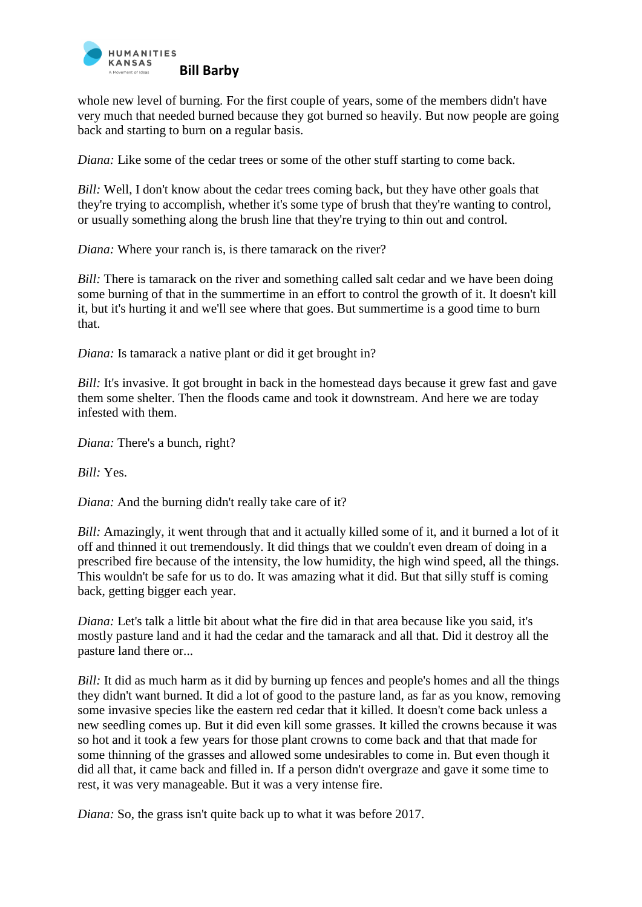

whole new level of burning. For the first couple of years, some of the members didn't have very much that needed burned because they got burned so heavily. But now people are going back and starting to burn on a regular basis.

*Diana:* Like some of the cedar trees or some of the other stuff starting to come back.

*Bill:* Well, I don't know about the cedar trees coming back, but they have other goals that they're trying to accomplish, whether it's some type of brush that they're wanting to control, or usually something along the brush line that they're trying to thin out and control.

*Diana:* Where your ranch is, is there tamarack on the river?

*Bill:* There is tamarack on the river and something called salt cedar and we have been doing some burning of that in the summertime in an effort to control the growth of it. It doesn't kill it, but it's hurting it and we'll see where that goes. But summertime is a good time to burn that.

*Diana:* Is tamarack a native plant or did it get brought in?

*Bill:* It's invasive. It got brought in back in the homestead days because it grew fast and gave them some shelter. Then the floods came and took it downstream. And here we are today infested with them.

*Diana:* There's a bunch, right?

*Bill:* Yes.

*Diana:* And the burning didn't really take care of it?

*Bill:* Amazingly, it went through that and it actually killed some of it, and it burned a lot of it off and thinned it out tremendously. It did things that we couldn't even dream of doing in a prescribed fire because of the intensity, the low humidity, the high wind speed, all the things. This wouldn't be safe for us to do. It was amazing what it did. But that silly stuff is coming back, getting bigger each year.

*Diana:* Let's talk a little bit about what the fire did in that area because like you said, it's mostly pasture land and it had the cedar and the tamarack and all that. Did it destroy all the pasture land there or...

*Bill:* It did as much harm as it did by burning up fences and people's homes and all the things they didn't want burned. It did a lot of good to the pasture land, as far as you know, removing some invasive species like the eastern red cedar that it killed. It doesn't come back unless a new seedling comes up. But it did even kill some grasses. It killed the crowns because it was so hot and it took a few years for those plant crowns to come back and that that made for some thinning of the grasses and allowed some undesirables to come in. But even though it did all that, it came back and filled in. If a person didn't overgraze and gave it some time to rest, it was very manageable. But it was a very intense fire.

*Diana:* So, the grass isn't quite back up to what it was before 2017.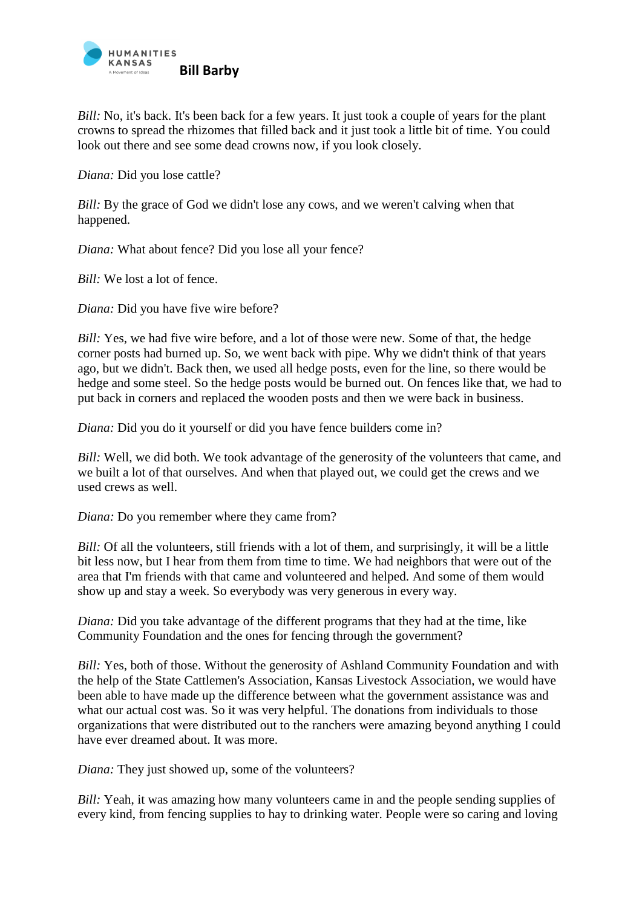

*Bill:* No, it's back. It's been back for a few years. It just took a couple of years for the plant crowns to spread the rhizomes that filled back and it just took a little bit of time. You could look out there and see some dead crowns now, if you look closely.

*Diana:* Did you lose cattle?

*Bill:* By the grace of God we didn't lose any cows, and we weren't calving when that happened.

*Diana:* What about fence? Did you lose all your fence?

*Bill:* We lost a lot of fence.

*Diana:* Did you have five wire before?

*Bill:* Yes, we had five wire before, and a lot of those were new. Some of that, the hedge corner posts had burned up. So, we went back with pipe. Why we didn't think of that years ago, but we didn't. Back then, we used all hedge posts, even for the line, so there would be hedge and some steel. So the hedge posts would be burned out. On fences like that, we had to put back in corners and replaced the wooden posts and then we were back in business.

*Diana:* Did you do it yourself or did you have fence builders come in?

*Bill:* Well, we did both. We took advantage of the generosity of the volunteers that came, and we built a lot of that ourselves. And when that played out, we could get the crews and we used crews as well.

*Diana:* Do you remember where they came from?

*Bill:* Of all the volunteers, still friends with a lot of them, and surprisingly, it will be a little bit less now, but I hear from them from time to time. We had neighbors that were out of the area that I'm friends with that came and volunteered and helped. And some of them would show up and stay a week. So everybody was very generous in every way.

*Diana:* Did you take advantage of the different programs that they had at the time, like Community Foundation and the ones for fencing through the government?

*Bill: Yes, both of those. Without the generosity of Ashland Community Foundation and with* the help of the State Cattlemen's Association, Kansas Livestock Association, we would have been able to have made up the difference between what the government assistance was and what our actual cost was. So it was very helpful. The donations from individuals to those organizations that were distributed out to the ranchers were amazing beyond anything I could have ever dreamed about. It was more.

*Diana:* They just showed up, some of the volunteers?

*Bill:* Yeah, it was amazing how many volunteers came in and the people sending supplies of every kind, from fencing supplies to hay to drinking water. People were so caring and loving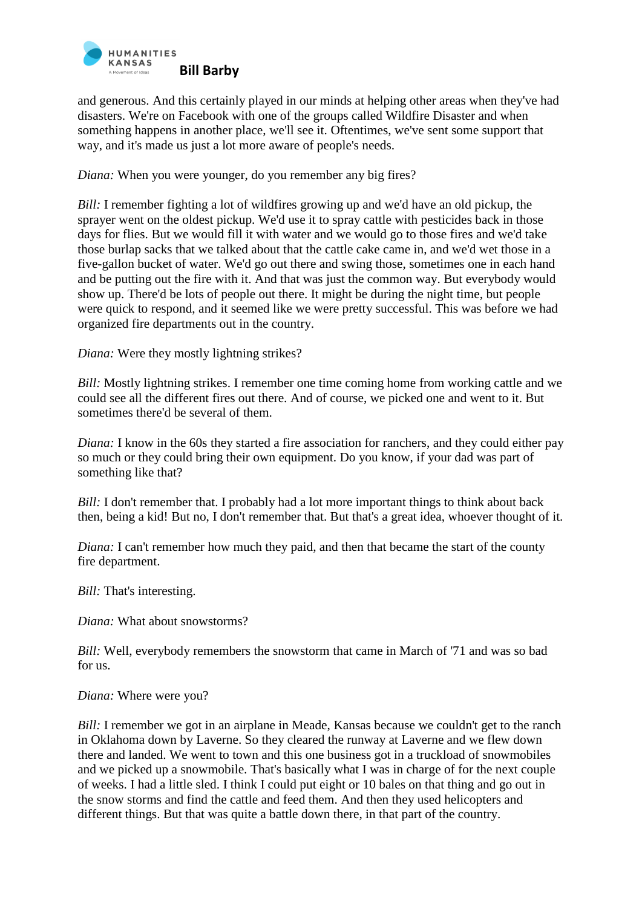

and generous. And this certainly played in our minds at helping other areas when they've had disasters. We're on Facebook with one of the groups called Wildfire Disaster and when something happens in another place, we'll see it. Oftentimes, we've sent some support that way, and it's made us just a lot more aware of people's needs.

*Diana:* When you were younger, do you remember any big fires?

*Bill:* I remember fighting a lot of wildfires growing up and we'd have an old pickup, the sprayer went on the oldest pickup. We'd use it to spray cattle with pesticides back in those days for flies. But we would fill it with water and we would go to those fires and we'd take those burlap sacks that we talked about that the cattle cake came in, and we'd wet those in a five-gallon bucket of water. We'd go out there and swing those, sometimes one in each hand and be putting out the fire with it. And that was just the common way. But everybody would show up. There'd be lots of people out there. It might be during the night time, but people were quick to respond, and it seemed like we were pretty successful. This was before we had organized fire departments out in the country.

*Diana:* Were they mostly lightning strikes?

*Bill:* Mostly lightning strikes. I remember one time coming home from working cattle and we could see all the different fires out there. And of course, we picked one and went to it. But sometimes there'd be several of them.

*Diana:* I know in the 60s they started a fire association for ranchers, and they could either pay so much or they could bring their own equipment. Do you know, if your dad was part of something like that?

*Bill:* I don't remember that. I probably had a lot more important things to think about back then, being a kid! But no, I don't remember that. But that's a great idea, whoever thought of it.

*Diana:* I can't remember how much they paid, and then that became the start of the county fire department.

*Bill:* That's interesting.

*Diana:* What about snowstorms?

*Bill:* Well, everybody remembers the snowstorm that came in March of '71 and was so bad for us.

*Diana:* Where were you?

*Bill:* I remember we got in an airplane in Meade, Kansas because we couldn't get to the ranch in Oklahoma down by Laverne. So they cleared the runway at Laverne and we flew down there and landed. We went to town and this one business got in a truckload of snowmobiles and we picked up a snowmobile. That's basically what I was in charge of for the next couple of weeks. I had a little sled. I think I could put eight or 10 bales on that thing and go out in the snow storms and find the cattle and feed them. And then they used helicopters and different things. But that was quite a battle down there, in that part of the country.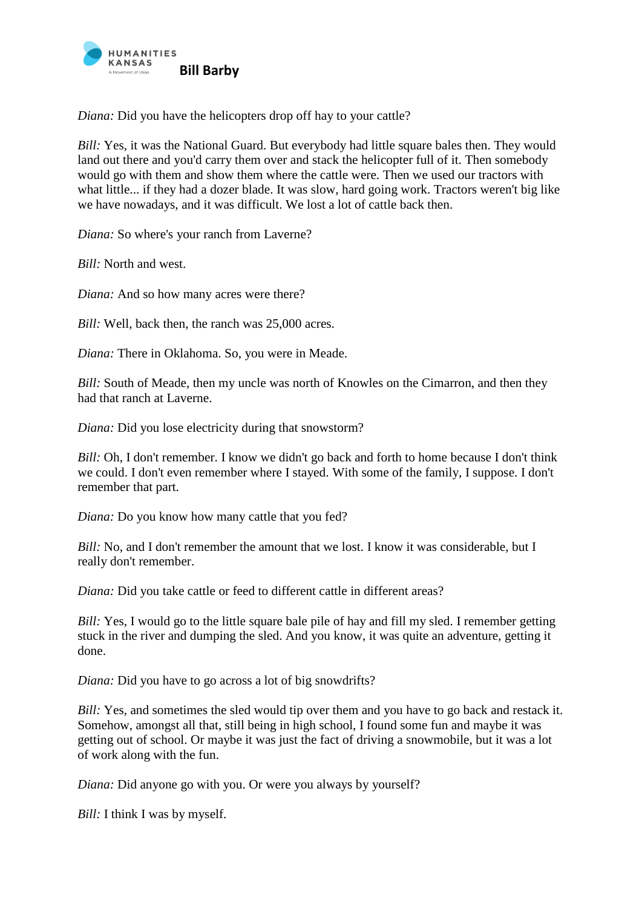

*Diana:* Did you have the helicopters drop off hay to your cattle?

*Bill:* Yes, it was the National Guard. But everybody had little square bales then. They would land out there and you'd carry them over and stack the helicopter full of it. Then somebody would go with them and show them where the cattle were. Then we used our tractors with what little... if they had a dozer blade. It was slow, hard going work. Tractors weren't big like we have nowadays, and it was difficult. We lost a lot of cattle back then.

*Diana:* So where's your ranch from Laverne?

*Bill:* North and west.

*Diana:* And so how many acres were there?

*Bill:* Well, back then, the ranch was 25,000 acres.

*Diana:* There in Oklahoma. So, you were in Meade.

*Bill:* South of Meade, then my uncle was north of Knowles on the Cimarron, and then they had that ranch at Laverne.

*Diana:* Did you lose electricity during that snowstorm?

*Bill:* Oh, I don't remember. I know we didn't go back and forth to home because I don't think we could. I don't even remember where I stayed. With some of the family, I suppose. I don't remember that part.

*Diana:* Do you know how many cattle that you fed?

*Bill:* No, and I don't remember the amount that we lost. I know it was considerable, but I really don't remember.

*Diana:* Did you take cattle or feed to different cattle in different areas?

*Bill: Yes, I would go to the little square bale pile of hay and fill my sled. I remember getting* stuck in the river and dumping the sled. And you know, it was quite an adventure, getting it done.

*Diana:* Did you have to go across a lot of big snowdrifts?

*Bill:* Yes, and sometimes the sled would tip over them and you have to go back and restack it. Somehow, amongst all that, still being in high school, I found some fun and maybe it was getting out of school. Or maybe it was just the fact of driving a snowmobile, but it was a lot of work along with the fun.

*Diana:* Did anyone go with you. Or were you always by yourself?

*Bill:* I think I was by myself.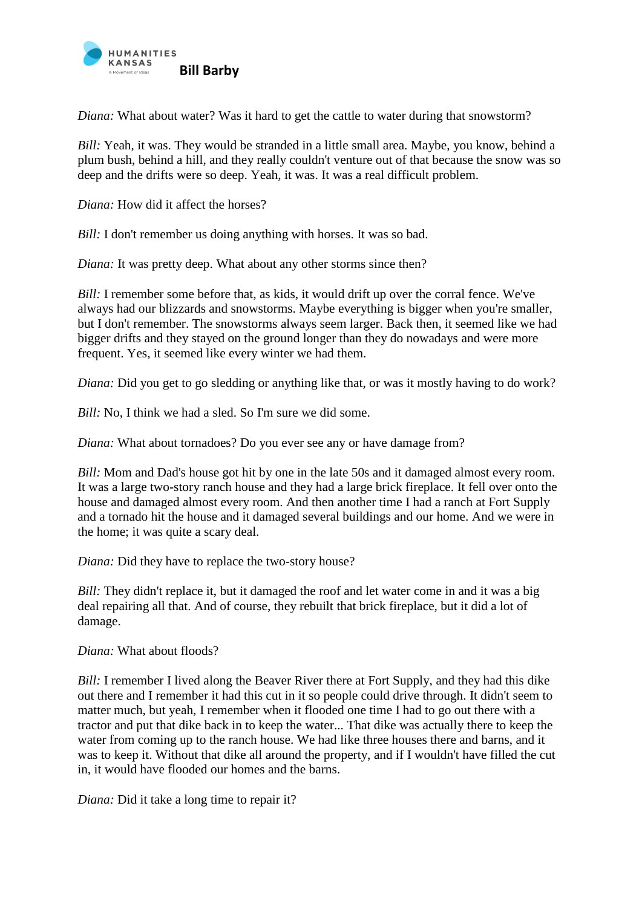

*Diana:* What about water? Was it hard to get the cattle to water during that snowstorm?

*Bill: Yeah, it was. They would be stranded in a little small area. Maybe, you know, behind a* plum bush, behind a hill, and they really couldn't venture out of that because the snow was so deep and the drifts were so deep. Yeah, it was. It was a real difficult problem.

*Diana:* How did it affect the horses?

*Bill:* I don't remember us doing anything with horses. It was so bad.

*Diana:* It was pretty deep. What about any other storms since then?

*Bill:* I remember some before that, as kids, it would drift up over the corral fence. We've always had our blizzards and snowstorms. Maybe everything is bigger when you're smaller, but I don't remember. The snowstorms always seem larger. Back then, it seemed like we had bigger drifts and they stayed on the ground longer than they do nowadays and were more frequent. Yes, it seemed like every winter we had them.

*Diana:* Did you get to go sledding or anything like that, or was it mostly having to do work?

*Bill:* No. I think we had a sled. So I'm sure we did some.

*Diana:* What about tornadoes? Do you ever see any or have damage from?

*Bill:* Mom and Dad's house got hit by one in the late 50s and it damaged almost every room. It was a large two-story ranch house and they had a large brick fireplace. It fell over onto the house and damaged almost every room. And then another time I had a ranch at Fort Supply and a tornado hit the house and it damaged several buildings and our home. And we were in the home; it was quite a scary deal.

*Diana:* Did they have to replace the two-story house?

*Bill:* They didn't replace it, but it damaged the roof and let water come in and it was a big deal repairing all that. And of course, they rebuilt that brick fireplace, but it did a lot of damage.

*Diana:* What about floods?

*Bill:* I remember I lived along the Beaver River there at Fort Supply, and they had this dike out there and I remember it had this cut in it so people could drive through. It didn't seem to matter much, but yeah, I remember when it flooded one time I had to go out there with a tractor and put that dike back in to keep the water... That dike was actually there to keep the water from coming up to the ranch house. We had like three houses there and barns, and it was to keep it. Without that dike all around the property, and if I wouldn't have filled the cut in, it would have flooded our homes and the barns.

*Diana:* Did it take a long time to repair it?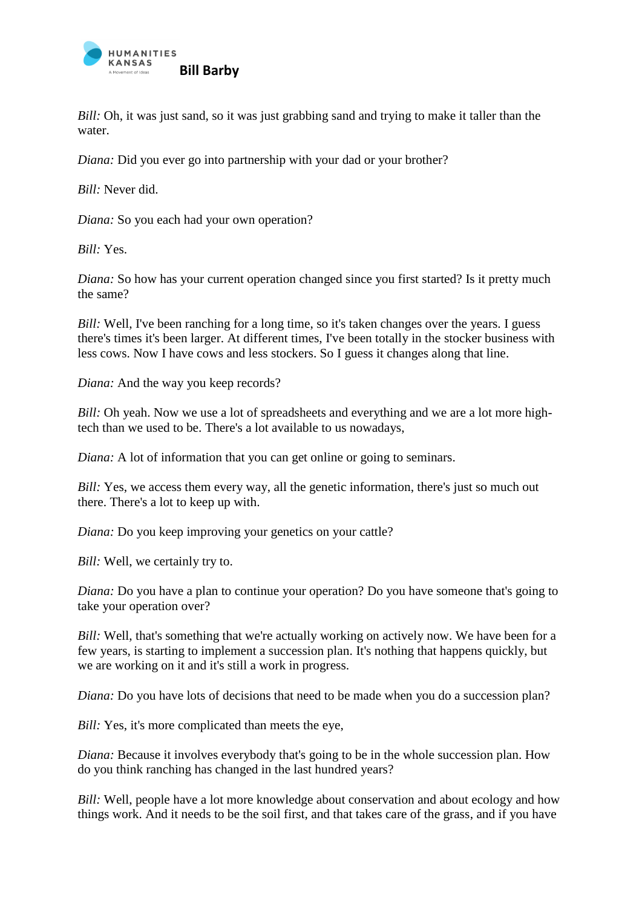

*Bill:* Oh, it was just sand, so it was just grabbing sand and trying to make it taller than the water.

*Diana:* Did you ever go into partnership with your dad or your brother?

*Bill:* Never did.

*Diana:* So you each had your own operation?

*Bill:* Yes.

*Diana:* So how has your current operation changed since you first started? Is it pretty much the same?

*Bill:* Well, I've been ranching for a long time, so it's taken changes over the years. I guess there's times it's been larger. At different times, I've been totally in the stocker business with less cows. Now I have cows and less stockers. So I guess it changes along that line.

*Diana:* And the way you keep records?

*Bill:* Oh yeah. Now we use a lot of spreadsheets and everything and we are a lot more hightech than we used to be. There's a lot available to us nowadays,

*Diana:* A lot of information that you can get online or going to seminars.

*Bill:* Yes, we access them every way, all the genetic information, there's just so much out there. There's a lot to keep up with.

*Diana:* Do you keep improving your genetics on your cattle?

*Bill:* Well, we certainly try to.

*Diana:* Do you have a plan to continue your operation? Do you have someone that's going to take your operation over?

*Bill:* Well, that's something that we're actually working on actively now. We have been for a few years, is starting to implement a succession plan. It's nothing that happens quickly, but we are working on it and it's still a work in progress.

*Diana:* Do you have lots of decisions that need to be made when you do a succession plan?

*Bill:* Yes, it's more complicated than meets the eye,

*Diana:* Because it involves everybody that's going to be in the whole succession plan. How do you think ranching has changed in the last hundred years?

*Bill:* Well, people have a lot more knowledge about conservation and about ecology and how things work. And it needs to be the soil first, and that takes care of the grass, and if you have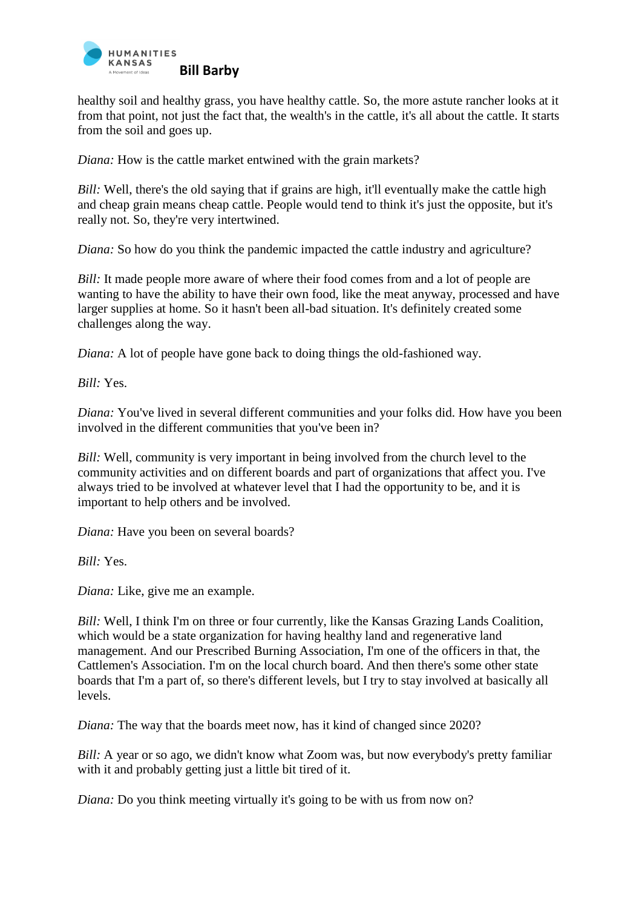

healthy soil and healthy grass, you have healthy cattle. So, the more astute rancher looks at it from that point, not just the fact that, the wealth's in the cattle, it's all about the cattle. It starts from the soil and goes up.

*Diana:* How is the cattle market entwined with the grain markets?

*Bill:* Well, there's the old saying that if grains are high, it'll eventually make the cattle high and cheap grain means cheap cattle. People would tend to think it's just the opposite, but it's really not. So, they're very intertwined.

*Diana:* So how do you think the pandemic impacted the cattle industry and agriculture?

*Bill:* It made people more aware of where their food comes from and a lot of people are wanting to have the ability to have their own food, like the meat anyway, processed and have larger supplies at home. So it hasn't been all-bad situation. It's definitely created some challenges along the way.

*Diana:* A lot of people have gone back to doing things the old-fashioned way.

*Bill:* Yes.

*Diana:* You've lived in several different communities and your folks did. How have you been involved in the different communities that you've been in?

*Bill:* Well, community is very important in being involved from the church level to the community activities and on different boards and part of organizations that affect you. I've always tried to be involved at whatever level that I had the opportunity to be, and it is important to help others and be involved.

*Diana:* Have you been on several boards?

*Bill:* Yes.

*Diana:* Like, give me an example.

*Bill:* Well, I think I'm on three or four currently, like the Kansas Grazing Lands Coalition, which would be a state organization for having healthy land and regenerative land management. And our Prescribed Burning Association, I'm one of the officers in that, the Cattlemen's Association. I'm on the local church board. And then there's some other state boards that I'm a part of, so there's different levels, but I try to stay involved at basically all levels.

*Diana:* The way that the boards meet now, has it kind of changed since 2020?

*Bill:* A year or so ago, we didn't know what Zoom was, but now everybody's pretty familiar with it and probably getting just a little bit tired of it.

*Diana:* Do you think meeting virtually it's going to be with us from now on?